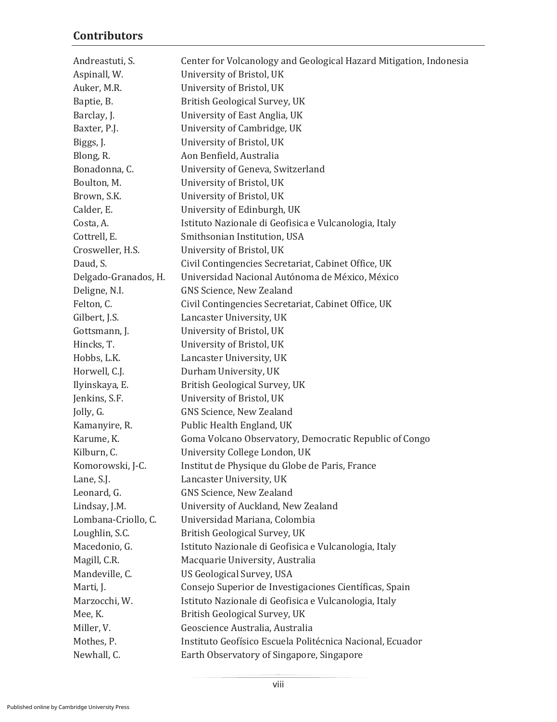## **Contributors**

| Andreastuti, S.      | Center for Volcanology and Geological Hazard Mitigation, Indonesia |
|----------------------|--------------------------------------------------------------------|
| Aspinall, W.         | University of Bristol, UK                                          |
| Auker, M.R.          | University of Bristol, UK                                          |
| Baptie, B.           | British Geological Survey, UK                                      |
| Barclay, J.          | University of East Anglia, UK                                      |
| Baxter, P.J.         | University of Cambridge, UK                                        |
| Biggs, J.            | University of Bristol, UK                                          |
| Blong, R.            | Aon Benfield, Australia                                            |
| Bonadonna, C.        | University of Geneva, Switzerland                                  |
| Boulton, M.          | University of Bristol, UK                                          |
| Brown, S.K.          | University of Bristol, UK                                          |
| Calder, E.           | University of Edinburgh, UK                                        |
| Costa, A.            | Istituto Nazionale di Geofisica e Vulcanologia, Italy              |
| Cottrell, E.         | Smithsonian Institution, USA                                       |
| Crosweller, H.S.     | University of Bristol, UK                                          |
| Daud, S.             | Civil Contingencies Secretariat, Cabinet Office, UK                |
| Delgado-Granados, H. | Universidad Nacional Autónoma de México, México                    |
| Deligne, N.I.        | GNS Science, New Zealand                                           |
| Felton, C.           | Civil Contingencies Secretariat, Cabinet Office, UK                |
| Gilbert, J.S.        | Lancaster University, UK                                           |
| Gottsmann, J.        | University of Bristol, UK                                          |
| Hincks, T.           | University of Bristol, UK                                          |
| Hobbs, L.K.          | Lancaster University, UK                                           |
| Horwell, C.J.        | Durham University, UK                                              |
| Ilyinskaya, E.       | British Geological Survey, UK                                      |
| Jenkins, S.F.        | University of Bristol, UK                                          |
| Jolly, G.            | GNS Science, New Zealand                                           |
| Kamanyire, R.        | Public Health England, UK                                          |
| Karume, K.           | Goma Volcano Observatory, Democratic Republic of Congo             |
| Kilburn, C.          | University College London, UK                                      |
| Komorowski, J-C.     | Institut de Physique du Globe de Paris, France                     |
| Lane, S.J.           | Lancaster University, UK                                           |
| Leonard, G.          | GNS Science, New Zealand                                           |
| Lindsay, J.M.        | University of Auckland, New Zealand                                |
| Lombana-Criollo, C.  | Universidad Mariana, Colombia                                      |
| Loughlin, S.C.       | British Geological Survey, UK                                      |
| Macedonio, G.        | Istituto Nazionale di Geofisica e Vulcanologia, Italy              |
| Magill, C.R.         | Macquarie University, Australia                                    |
| Mandeville, C.       | <b>US Geological Survey, USA</b>                                   |
| Marti, J.            | Consejo Superior de Investigaciones Científicas, Spain             |
| Marzocchi, W.        | Istituto Nazionale di Geofisica e Vulcanologia, Italy              |
| Mee, K.              | British Geological Survey, UK                                      |
| Miller, V.           | Geoscience Australia, Australia                                    |
| Mothes, P.           | Instituto Geofísico Escuela Politécnica Nacional, Ecuador          |
| Newhall, C.          | Earth Observatory of Singapore, Singapore                          |